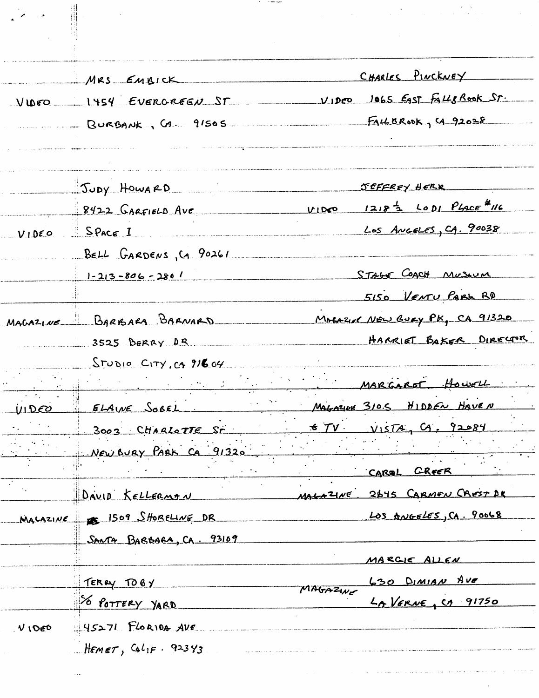| $\mathcal{L} \rightarrow \mathcal{L}$ |                                                      |                                                       |
|---------------------------------------|------------------------------------------------------|-------------------------------------------------------|
|                                       |                                                      |                                                       |
|                                       |                                                      |                                                       |
|                                       | MRS EMBICK                                           | CHARLES PINCKNEY                                      |
|                                       |                                                      | VIDEO 1454 EVERGREEN ST VIDEO 1065 EAST FALLSROOK ST. |
|                                       |                                                      | EachBROOK J CA. 91505 FACEBROOK CA 92028              |
|                                       |                                                      |                                                       |
|                                       |                                                      |                                                       |
|                                       | Judy HowaRD                                          | SEFFREY HERR                                          |
|                                       | $8422$ GARFIELD AVE                                  | $MDCO$ $1218^{1/2}$ $LODI$ $PLACF$ $MC$               |
|                                       | VIDEO SPACE I                                        | Los Angeles, CA. 90038                                |
|                                       | BELL GARDENS, CA 90261                               |                                                       |
|                                       | $1 - 213 - 806 - 2801$                               | STAGE COACH MUSSUM                                    |
|                                       |                                                      | 5150 VENTU PABL RD                                    |
|                                       | MAGAZINE BARBARA BARNARD                             | MAGAZINE NEW BURY PK, CA 91320                        |
|                                       | 3525 BERRY DR                                        | HARRIET BAKER DIRECTOR                                |
|                                       | $S_{TUDLO}$ $C_{1T}y$ , $c_{1}$ $216.64$             |                                                       |
|                                       | <u> 1989 - Johann Stein, Amerikaansk politiker (</u> | MARGARET HOWELL                                       |
| <u>UIDEO</u>                          | ELAINE SOBEL                                         | MAGAZINE 310.5 HIDDEN HAVEN                           |
|                                       | 3003 CHARLOTTE ST                                    | $57V$ $V157A$ , $G. 92084$                            |
|                                       | New BURY PARK CA 91320                               |                                                       |
|                                       |                                                      | CAREL CREER                                           |
|                                       | DAVID KELLERMAN                                      | MALAZINE 2645 CARMEN CREST DR                         |
|                                       | MALAZINE 1509 SHORELINE DR                           | LOS ANGELES, CA. 90068                                |
|                                       | SANTA BARBARA, CA. 93109                             |                                                       |
|                                       |                                                      | MARGIE ALLEN                                          |
|                                       | TERRY TOBY                                           | 630 DIMIAN AVE                                        |
|                                       | TO POTTERY YARD                                      | MAGAZINE<br>LAVERNE, CA 91750                         |
| VIDED                                 | $45271.$ FLORIDA AVE                                 |                                                       |
|                                       | HEMET, CALIF . 92343                                 |                                                       |
|                                       |                                                      |                                                       |